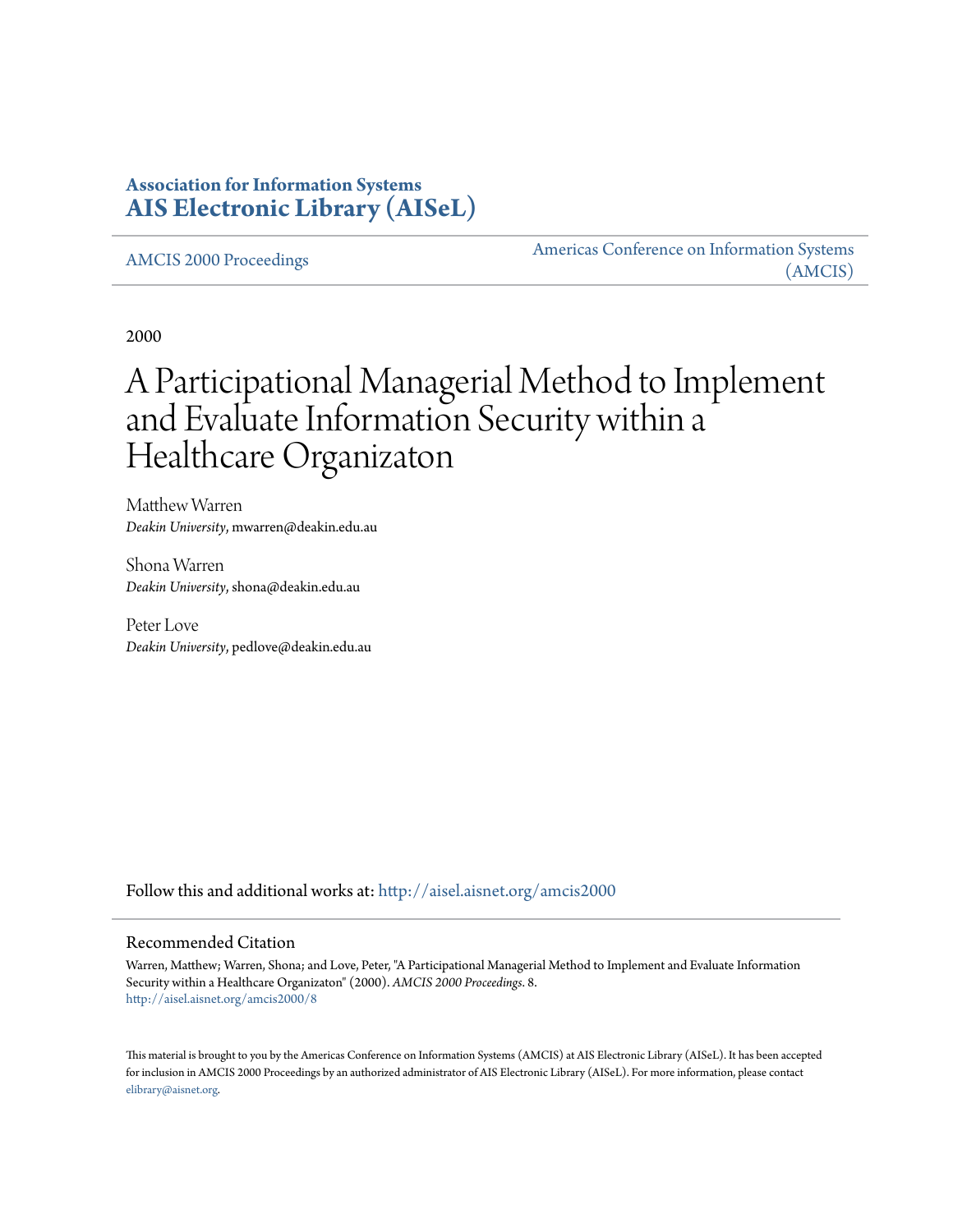## **Association for Information Systems [AIS Electronic Library \(AISeL\)](http://aisel.aisnet.org?utm_source=aisel.aisnet.org%2Famcis2000%2F8&utm_medium=PDF&utm_campaign=PDFCoverPages)**

[AMCIS 2000 Proceedings](http://aisel.aisnet.org/amcis2000?utm_source=aisel.aisnet.org%2Famcis2000%2F8&utm_medium=PDF&utm_campaign=PDFCoverPages)

[Americas Conference on Information Systems](http://aisel.aisnet.org/amcis?utm_source=aisel.aisnet.org%2Famcis2000%2F8&utm_medium=PDF&utm_campaign=PDFCoverPages) [\(AMCIS\)](http://aisel.aisnet.org/amcis?utm_source=aisel.aisnet.org%2Famcis2000%2F8&utm_medium=PDF&utm_campaign=PDFCoverPages)

2000

# A Participational Managerial Method to Implement and Evaluate Information Security within a Healthcare Organizaton

Matthew Warren *Deakin University*, mwarren@deakin.edu.au

Shona Warren *Deakin University*, shona@deakin.edu.au

Peter Love *Deakin University*, pedlove@deakin.edu.au

Follow this and additional works at: [http://aisel.aisnet.org/amcis2000](http://aisel.aisnet.org/amcis2000?utm_source=aisel.aisnet.org%2Famcis2000%2F8&utm_medium=PDF&utm_campaign=PDFCoverPages)

#### Recommended Citation

Warren, Matthew; Warren, Shona; and Love, Peter, "A Participational Managerial Method to Implement and Evaluate Information Security within a Healthcare Organizaton" (2000). *AMCIS 2000 Proceedings*. 8. [http://aisel.aisnet.org/amcis2000/8](http://aisel.aisnet.org/amcis2000/8?utm_source=aisel.aisnet.org%2Famcis2000%2F8&utm_medium=PDF&utm_campaign=PDFCoverPages)

This material is brought to you by the Americas Conference on Information Systems (AMCIS) at AIS Electronic Library (AISeL). It has been accepted for inclusion in AMCIS 2000 Proceedings by an authorized administrator of AIS Electronic Library (AISeL). For more information, please contact [elibrary@aisnet.org.](mailto:elibrary@aisnet.org%3E)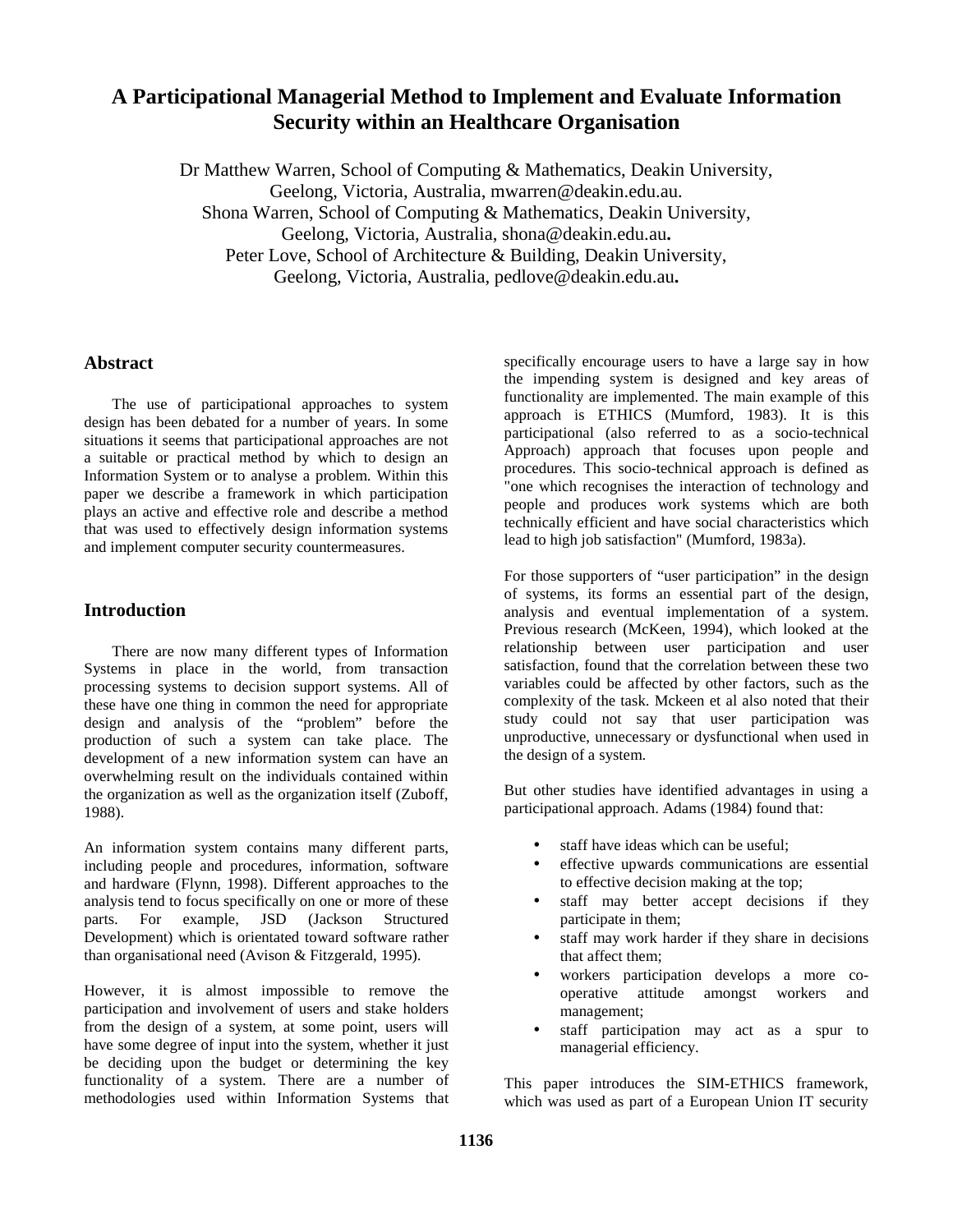# **A Participational Managerial Method to Implement and Evaluate Information Security within an Healthcare Organisation**

Dr Matthew Warren, School of Computing & Mathematics, Deakin University, Geelong, Victoria, Australia, mwarren@deakin.edu.au. Shona Warren, School of Computing & Mathematics, Deakin University, Geelong, Victoria, Australia, shona@deakin.edu.au**.** Peter Love, School of Architecture & Building, Deakin University, Geelong, Victoria, Australia, pedlove@deakin.edu.au**.**

## **Abstract**

The use of participational approaches to system design has been debated for a number of years. In some situations it seems that participational approaches are not a suitable or practical method by which to design an Information System or to analyse a problem. Within this paper we describe a framework in which participation plays an active and effective role and describe a method that was used to effectively design information systems and implement computer security countermeasures.

## **Introduction**

There are now many different types of Information Systems in place in the world, from transaction processing systems to decision support systems. All of these have one thing in common the need for appropriate design and analysis of the "problem" before the production of such a system can take place. The development of a new information system can have an overwhelming result on the individuals contained within the organization as well as the organization itself (Zuboff, 1988).

An information system contains many different parts, including people and procedures, information, software and hardware (Flynn, 1998). Different approaches to the analysis tend to focus specifically on one or more of these parts. For example, JSD (Jackson Structured Development) which is orientated toward software rather than organisational need (Avison & Fitzgerald, 1995).

However, it is almost impossible to remove the participation and involvement of users and stake holders from the design of a system, at some point, users will have some degree of input into the system, whether it just be deciding upon the budget or determining the key functionality of a system. There are a number of methodologies used within Information Systems that

specifically encourage users to have a large say in how the impending system is designed and key areas of functionality are implemented. The main example of this approach is ETHICS (Mumford, 1983). It is this participational (also referred to as a socio-technical Approach) approach that focuses upon people and procedures. This socio-technical approach is defined as "one which recognises the interaction of technology and people and produces work systems which are both technically efficient and have social characteristics which lead to high job satisfaction" (Mumford, 1983a).

For those supporters of "user participation" in the design of systems, its forms an essential part of the design, analysis and eventual implementation of a system. Previous research (McKeen, 1994), which looked at the relationship between user participation and user satisfaction, found that the correlation between these two variables could be affected by other factors, such as the complexity of the task. Mckeen et al also noted that their study could not say that user participation was unproductive, unnecessary or dysfunctional when used in the design of a system.

But other studies have identified advantages in using a participational approach. Adams (1984) found that:

- staff have ideas which can be useful:
- effective upwards communications are essential to effective decision making at the top;
- staff may better accept decisions if they participate in them;
- staff may work harder if they share in decisions that affect them;
- workers participation develops a more cooperative attitude amongst workers and management;
- staff participation may act as a spur to managerial efficiency.

This paper introduces the SIM-ETHICS framework, which was used as part of a European Union IT security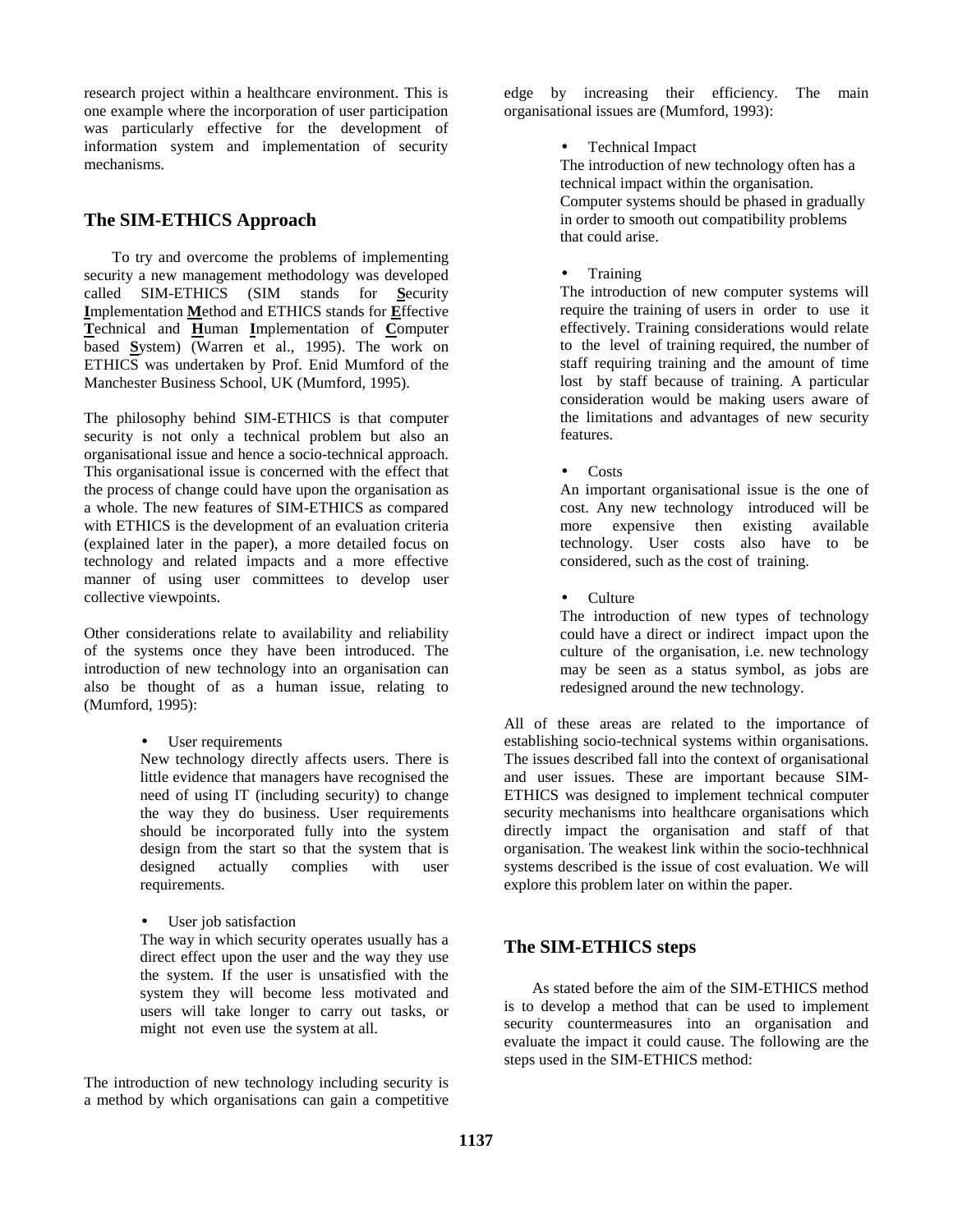research project within a healthcare environment. This is one example where the incorporation of user participation was particularly effective for the development of information system and implementation of security mechanisms.

## **The SIM-ETHICS Approach**

To try and overcome the problems of implementing security a new management methodology was developed called SIM-ETHICS (SIM stands for **S**ecurity **I**mplementation **M**ethod and ETHICS stands for **E**ffective **T**echnical and **H**uman **I**mplementation of **C**omputer based **S**ystem) (Warren et al., 1995). The work on ETHICS was undertaken by Prof. Enid Mumford of the Manchester Business School, UK (Mumford, 1995).

The philosophy behind SIM-ETHICS is that computer security is not only a technical problem but also an organisational issue and hence a socio-technical approach. This organisational issue is concerned with the effect that the process of change could have upon the organisation as a whole. The new features of SIM-ETHICS as compared with ETHICS is the development of an evaluation criteria (explained later in the paper), a more detailed focus on technology and related impacts and a more effective manner of using user committees to develop user collective viewpoints.

Other considerations relate to availability and reliability of the systems once they have been introduced. The introduction of new technology into an organisation can also be thought of as a human issue, relating to (Mumford, 1995):

• User requirements

New technology directly affects users. There is little evidence that managers have recognised the need of using IT (including security) to change the way they do business. User requirements should be incorporated fully into the system design from the start so that the system that is designed actually complies with user requirements.

• User job satisfaction

The way in which security operates usually has a direct effect upon the user and the way they use the system. If the user is unsatisfied with the system they will become less motivated and users will take longer to carry out tasks, or might not even use the system at all.

The introduction of new technology including security is a method by which organisations can gain a competitive edge by increasing their efficiency. The main organisational issues are (Mumford, 1993):

## • Technical Impact

The introduction of new technology often has a technical impact within the organisation. Computer systems should be phased in gradually in order to smooth out compatibility problems that could arise.

## • Training

The introduction of new computer systems will require the training of users in order to use it effectively. Training considerations would relate to the level of training required, the number of staff requiring training and the amount of time lost by staff because of training. A particular consideration would be making users aware of the limitations and advantages of new security features.

• Costs

An important organisational issue is the one of cost. Any new technology introduced will be more expensive then existing available technology. User costs also have to be considered, such as the cost of training.

• Culture

The introduction of new types of technology could have a direct or indirect impact upon the culture of the organisation, i.e. new technology may be seen as a status symbol, as jobs are redesigned around the new technology.

All of these areas are related to the importance of establishing socio-technical systems within organisations. The issues described fall into the context of organisational and user issues. These are important because SIM-ETHICS was designed to implement technical computer security mechanisms into healthcare organisations which directly impact the organisation and staff of that organisation. The weakest link within the socio-techhnical systems described is the issue of cost evaluation. We will explore this problem later on within the paper.

## **The SIM-ETHICS steps**

As stated before the aim of the SIM-ETHICS method is to develop a method that can be used to implement security countermeasures into an organisation and evaluate the impact it could cause. The following are the steps used in the SIM-ETHICS method: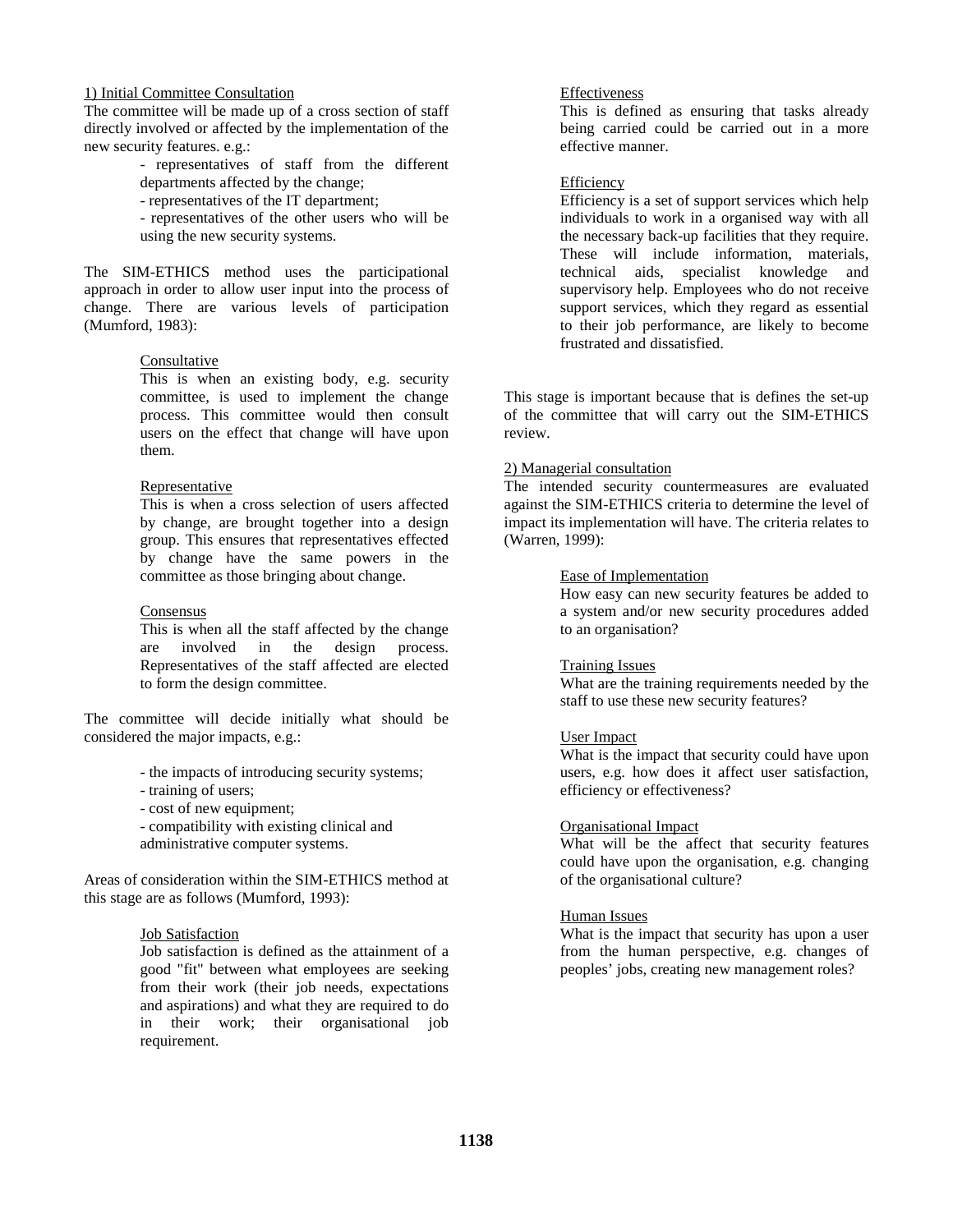#### 1) Initial Committee Consultation

The committee will be made up of a cross section of staff directly involved or affected by the implementation of the new security features. e.g.:

- representatives of staff from the different departments affected by the change;

- representatives of the IT department;

- representatives of the other users who will be using the new security systems.

The SIM-ETHICS method uses the participational approach in order to allow user input into the process of change. There are various levels of participation (Mumford, 1983):

#### Consultative

This is when an existing body, e.g. security committee, is used to implement the change process. This committee would then consult users on the effect that change will have upon them.

#### Representative

This is when a cross selection of users affected by change, are brought together into a design group. This ensures that representatives effected by change have the same powers in the committee as those bringing about change.

#### Consensus

This is when all the staff affected by the change are involved in the design process. Representatives of the staff affected are elected to form the design committee.

The committee will decide initially what should be considered the major impacts, e.g.:

- the impacts of introducing security systems;
- training of users;
- cost of new equipment;

- compatibility with existing clinical and administrative computer systems.

Areas of consideration within the SIM-ETHICS method at this stage are as follows (Mumford, 1993):

#### Job Satisfaction

Job satisfaction is defined as the attainment of a good "fit" between what employees are seeking from their work (their job needs, expectations and aspirations) and what they are required to do in their work; their organisational job requirement.

#### Effectiveness

This is defined as ensuring that tasks already being carried could be carried out in a more effective manner.

#### Efficiency

Efficiency is a set of support services which help individuals to work in a organised way with all the necessary back-up facilities that they require. These will include information, materials, technical aids, specialist knowledge and supervisory help. Employees who do not receive support services, which they regard as essential to their job performance, are likely to become frustrated and dissatisfied.

This stage is important because that is defines the set-up of the committee that will carry out the SIM-ETHICS review.

#### 2) Managerial consultation

The intended security countermeasures are evaluated against the SIM-ETHICS criteria to determine the level of impact its implementation will have. The criteria relates to (Warren, 1999):

#### Ease of Implementation

How easy can new security features be added to a system and/or new security procedures added to an organisation?

#### Training Issues

What are the training requirements needed by the staff to use these new security features?

#### User Impact

What is the impact that security could have upon users, e.g. how does it affect user satisfaction, efficiency or effectiveness?

#### Organisational Impact

What will be the affect that security features could have upon the organisation, e.g. changing of the organisational culture?

#### Human Issues

What is the impact that security has upon a user from the human perspective, e.g. changes of peoples' jobs, creating new management roles?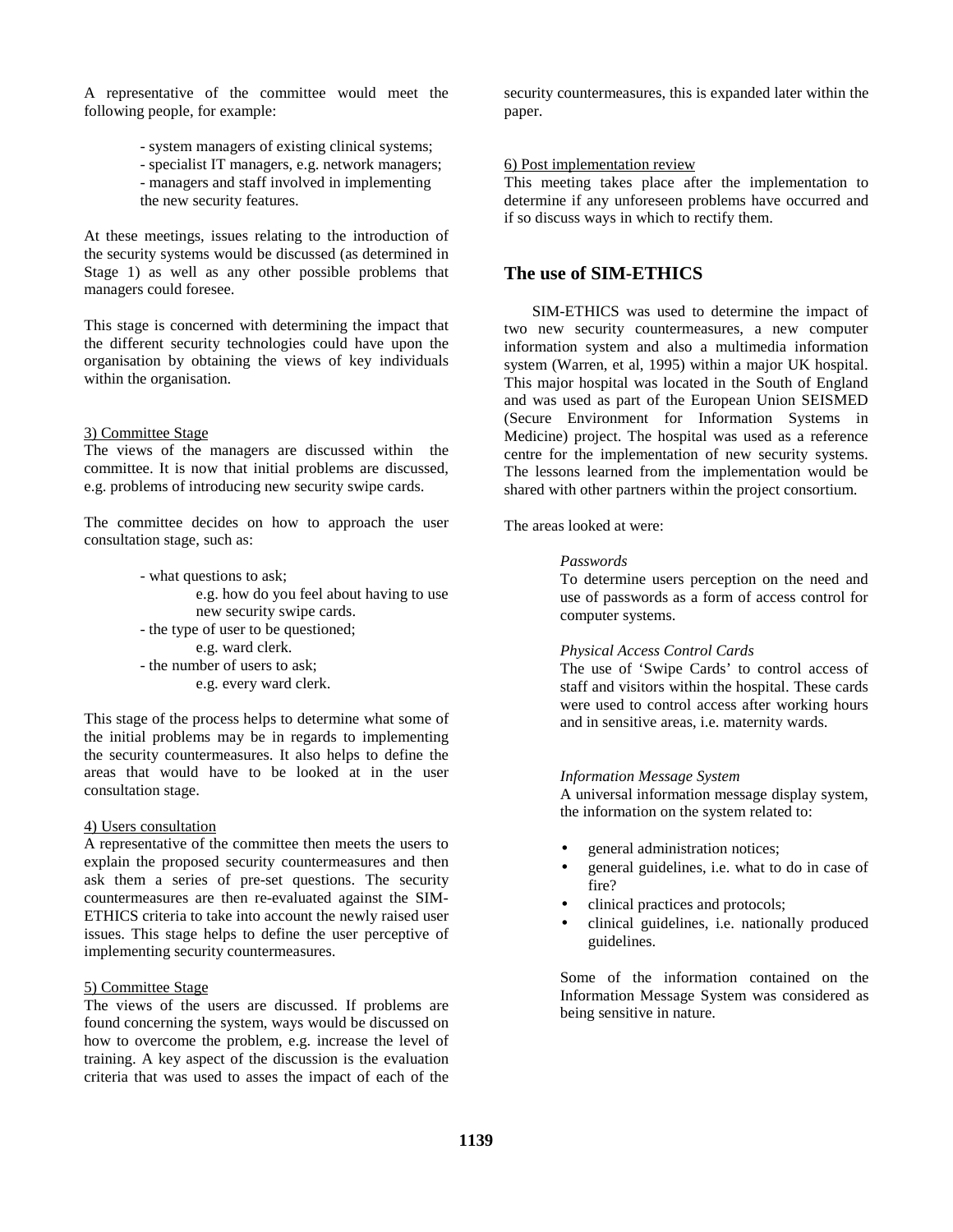A representative of the committee would meet the following people, for example:

- system managers of existing clinical systems;
- specialist IT managers, e.g. network managers;
- managers and staff involved in implementing the new security features.

At these meetings, issues relating to the introduction of the security systems would be discussed (as determined in Stage 1) as well as any other possible problems that managers could foresee.

This stage is concerned with determining the impact that the different security technologies could have upon the organisation by obtaining the views of key individuals within the organisation.

#### 3) Committee Stage

The views of the managers are discussed within the committee. It is now that initial problems are discussed, e.g. problems of introducing new security swipe cards.

The committee decides on how to approach the user consultation stage, such as:

> - what questions to ask; e.g. how do you feel about having to use new security swipe cards. - the type of user to be questioned; e.g. ward clerk. - the number of users to ask; e.g. every ward clerk.

This stage of the process helps to determine what some of the initial problems may be in regards to implementing the security countermeasures. It also helps to define the areas that would have to be looked at in the user consultation stage.

#### 4) Users consultation

A representative of the committee then meets the users to explain the proposed security countermeasures and then ask them a series of pre-set questions. The security countermeasures are then re-evaluated against the SIM-ETHICS criteria to take into account the newly raised user issues. This stage helps to define the user perceptive of implementing security countermeasures.

#### 5) Committee Stage

The views of the users are discussed. If problems are found concerning the system, ways would be discussed on how to overcome the problem, e.g. increase the level of training. A key aspect of the discussion is the evaluation criteria that was used to asses the impact of each of the

security countermeasures, this is expanded later within the paper.

#### 6) Post implementation review

This meeting takes place after the implementation to determine if any unforeseen problems have occurred and if so discuss ways in which to rectify them.

## **The use of SIM-ETHICS**

SIM-ETHICS was used to determine the impact of two new security countermeasures, a new computer information system and also a multimedia information system (Warren, et al, 1995) within a major UK hospital. This major hospital was located in the South of England and was used as part of the European Union SEISMED (Secure Environment for Information Systems in Medicine) project. The hospital was used as a reference centre for the implementation of new security systems. The lessons learned from the implementation would be shared with other partners within the project consortium.

The areas looked at were:

#### *Passwords*

To determine users perception on the need and use of passwords as a form of access control for computer systems.

#### *Physical Access Control Cards*

The use of 'Swipe Cards' to control access of staff and visitors within the hospital. These cards were used to control access after working hours and in sensitive areas, i.e. maternity wards.

#### *Information Message System*

A universal information message display system, the information on the system related to:

- general administration notices;
- general guidelines, i.e. what to do in case of fire?
- clinical practices and protocols;
- clinical guidelines, i.e. nationally produced guidelines.

Some of the information contained on the Information Message System was considered as being sensitive in nature.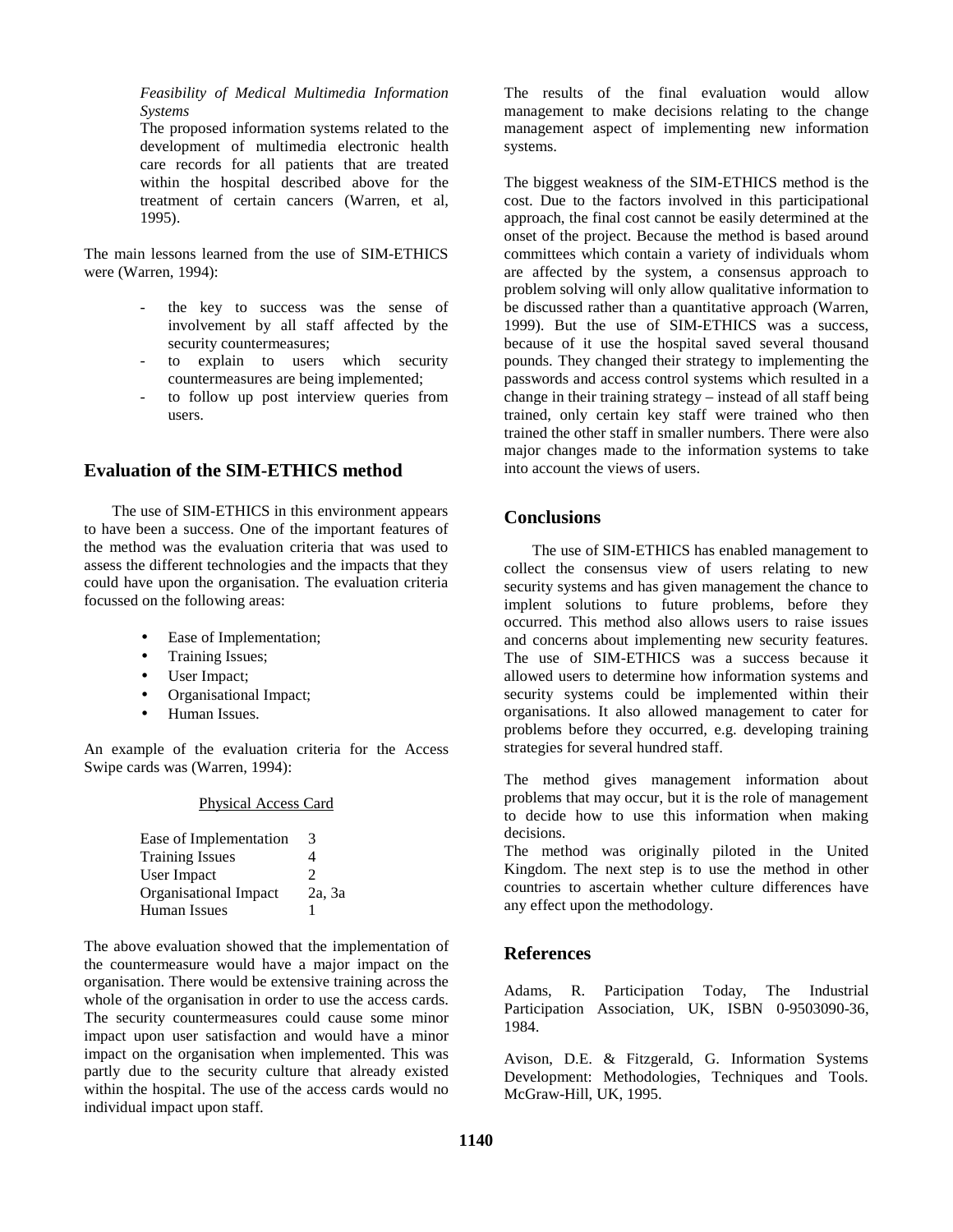#### *Feasibility of Medical Multimedia Information Systems*

The proposed information systems related to the development of multimedia electronic health care records for all patients that are treated within the hospital described above for the treatment of certain cancers (Warren, et al, 1995).

The main lessons learned from the use of SIM-ETHICS were (Warren, 1994):

- the key to success was the sense of involvement by all staff affected by the security countermeasures;
- to explain to users which security countermeasures are being implemented;
- to follow up post interview queries from users.

## **Evaluation of the SIM-ETHICS method**

The use of SIM-ETHICS in this environment appears to have been a success. One of the important features of the method was the evaluation criteria that was used to assess the different technologies and the impacts that they could have upon the organisation. The evaluation criteria focussed on the following areas:

- Ease of Implementation;
- Training Issues;
- User Impact;
- Organisational Impact;
- Human Issues.

An example of the evaluation criteria for the Access Swipe cards was (Warren, 1994):

#### Physical Access Card

| Ease of Implementation       | 3      |
|------------------------------|--------|
| <b>Training Issues</b>       | 4      |
| User Impact                  | 2      |
| <b>Organisational Impact</b> | 2a, 3a |
| Human Issues                 |        |

The above evaluation showed that the implementation of the countermeasure would have a major impact on the organisation. There would be extensive training across the whole of the organisation in order to use the access cards. The security countermeasures could cause some minor impact upon user satisfaction and would have a minor impact on the organisation when implemented. This was partly due to the security culture that already existed within the hospital. The use of the access cards would no individual impact upon staff.

The results of the final evaluation would allow management to make decisions relating to the change management aspect of implementing new information systems.

The biggest weakness of the SIM-ETHICS method is the cost. Due to the factors involved in this participational approach, the final cost cannot be easily determined at the onset of the project. Because the method is based around committees which contain a variety of individuals whom are affected by the system, a consensus approach to problem solving will only allow qualitative information to be discussed rather than a quantitative approach (Warren, 1999). But the use of SIM-ETHICS was a success, because of it use the hospital saved several thousand pounds. They changed their strategy to implementing the passwords and access control systems which resulted in a change in their training strategy – instead of all staff being trained, only certain key staff were trained who then trained the other staff in smaller numbers. There were also major changes made to the information systems to take into account the views of users.

## **Conclusions**

The use of SIM-ETHICS has enabled management to collect the consensus view of users relating to new security systems and has given management the chance to implent solutions to future problems, before they occurred. This method also allows users to raise issues and concerns about implementing new security features. The use of SIM-ETHICS was a success because it allowed users to determine how information systems and security systems could be implemented within their organisations. It also allowed management to cater for problems before they occurred, e.g. developing training strategies for several hundred staff.

The method gives management information about problems that may occur, but it is the role of management to decide how to use this information when making decisions.

The method was originally piloted in the United Kingdom. The next step is to use the method in other countries to ascertain whether culture differences have any effect upon the methodology.

## **References**

Adams, R. Participation Today, The Industrial Participation Association, UK, ISBN 0-9503090-36, 1984.

Avison, D.E. & Fitzgerald, G. Information Systems Development: Methodologies, Techniques and Tools. McGraw-Hill, UK, 1995.